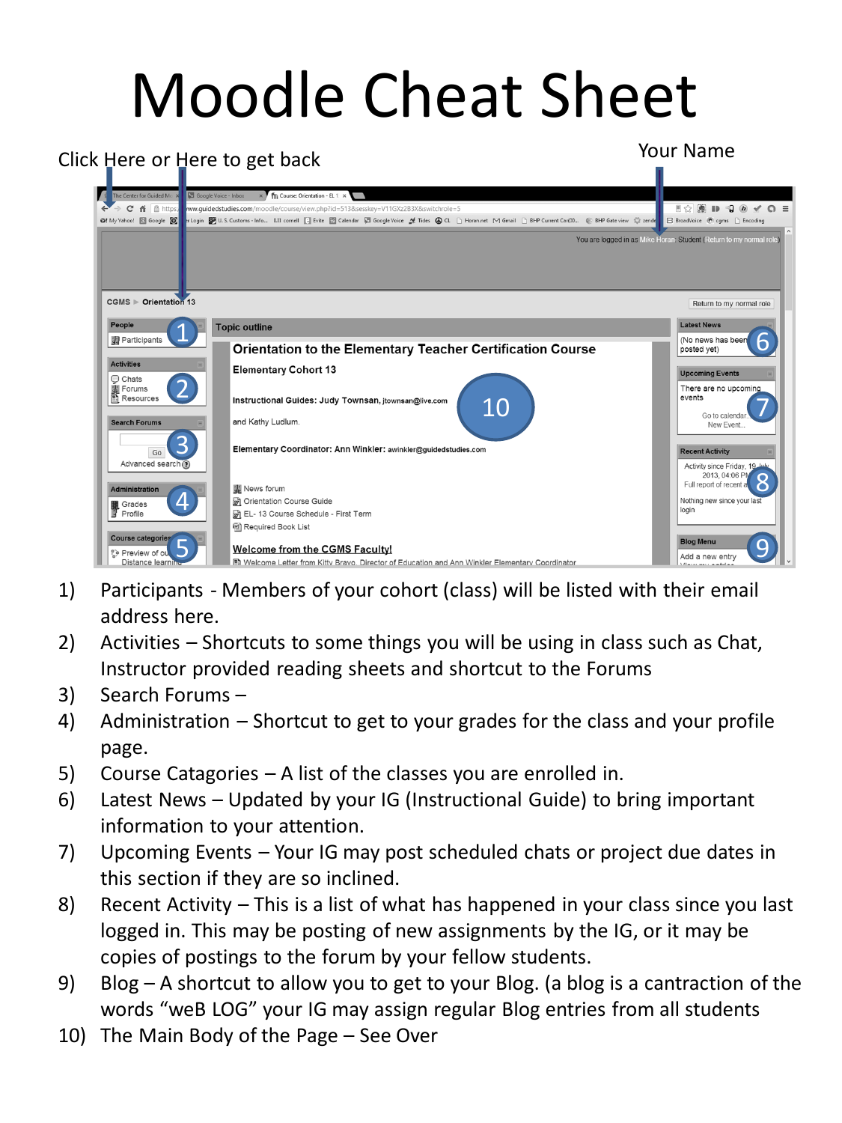## Moodle Cheat Sheet



- 1) Participants Members of your cohort (class) will be listed with their email address here.
- 2) Activities Shortcuts to some things you will be using in class such as Chat, Instructor provided reading sheets and shortcut to the Forums
- 3) Search Forums –
- 4) Administration Shortcut to get to your grades for the class and your profile page.
- 5) Course Catagories A list of the classes you are enrolled in.
- 6) Latest News Updated by your IG (Instructional Guide) to bring important information to your attention.
- 7) Upcoming Events Your IG may post scheduled chats or project due dates in this section if they are so inclined.
- 8) Recent Activity This is a list of what has happened in your class since you last logged in. This may be posting of new assignments by the IG, or it may be copies of postings to the forum by your fellow students.
- 9) Blog A shortcut to allow you to get to your Blog. (a blog is a cantraction of the words "weB LOG" your IG may assign regular Blog entries from all students
- 10) The Main Body of the Page See Over